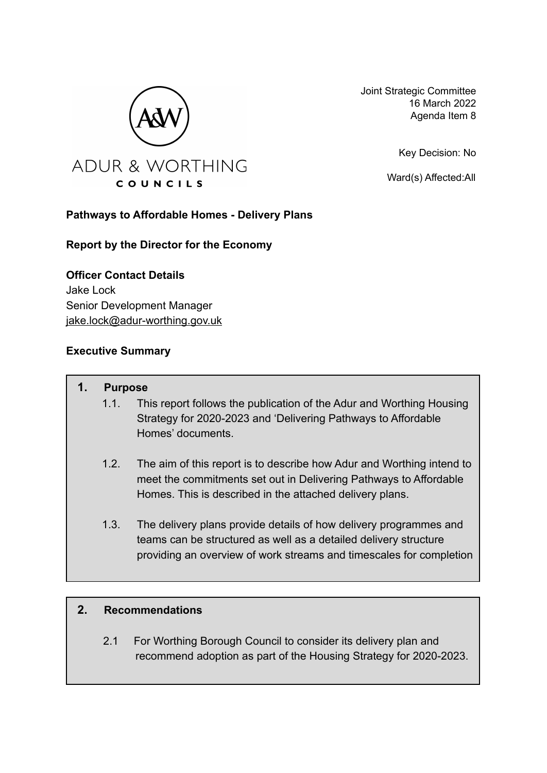

Joint Strategic Committee 16 March 2022 Agenda Item 8

Key Decision: No

Ward(s) Affected:All

#### **Pathways to Affordable Homes - Delivery Plans**

#### **Report by the Director for the Economy**

**Officer Contact Details** Jake Lock Senior Development Manager [jake.lock@adur-worthing.gov.uk](mailto:jake.lock@adur-worthing.gov.uk)

#### **Executive Summary**

#### **1. Purpose**

- 1.1. This report follows the publication of the Adur and Worthing Housing Strategy for 2020-2023 and 'Delivering Pathways to Affordable Homes' documents.
- 1.2. The aim of this report is to describe how Adur and Worthing intend to meet the commitments set out in Delivering Pathways to Affordable Homes. This is described in the attached delivery plans.
- 1.3. The delivery plans provide details of how delivery programmes and teams can be structured as well as a detailed delivery structure providing an overview of work streams and timescales for completion

#### **2. Recommendations**

2.1 For Worthing Borough Council to consider its delivery plan and recommend adoption as part of the Housing Strategy for 2020-2023.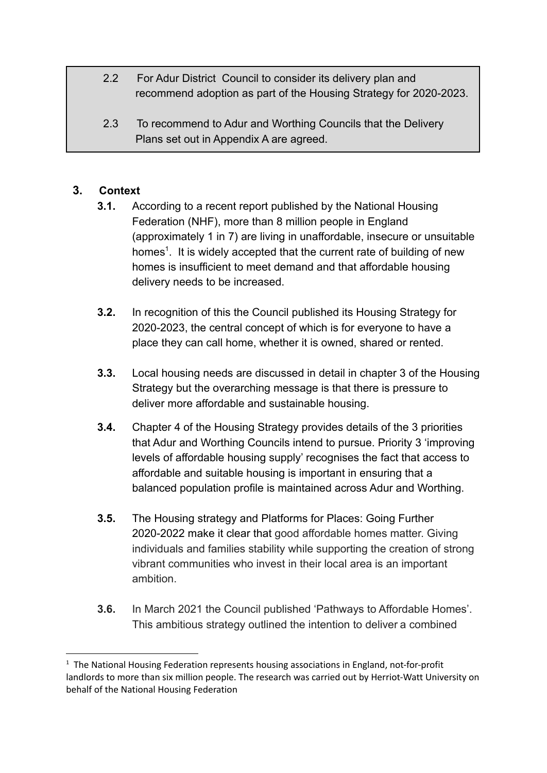- 2.2 For Adur District Council to consider its delivery plan and recommend adoption as part of the Housing Strategy for 2020-2023.
- 2.3 To recommend to Adur and Worthing Councils that the Delivery Plans set out in Appendix A are agreed.

## **3. Context**

- **3.1.** According to a recent report published by the National Housing Federation (NHF), more than 8 million people in England (approximately 1 in 7) are living in unaffordable, insecure or unsuitable homes<sup>1</sup>. It is widely accepted that the current rate of building of new homes is insufficient to meet demand and that affordable housing delivery needs to be increased.
- **3.2.** In recognition of this the Council published its Housing Strategy for 2020-2023, the central concept of which is for everyone to have a place they can call home, whether it is owned, shared or rented.
- **3.3.** Local housing needs are discussed in detail in chapter 3 of the Housing Strategy but the overarching message is that there is pressure to deliver more affordable and sustainable housing.
- **3.4.** Chapter 4 of the Housing Strategy provides details of the 3 priorities that Adur and Worthing Councils intend to pursue. Priority 3 'improving levels of affordable housing supply' recognises the fact that access to affordable and suitable housing is important in ensuring that a balanced population profile is maintained across Adur and Worthing.
- **3.5.** The Housing strategy and Platforms for Places: Going Further 2020-2022 make it clear that good affordable homes matter. Giving individuals and families stability while supporting the creation of strong vibrant communities who invest in their local area is an important ambition.
- **3.6.** In March 2021 the Council published 'Pathways to Affordable Homes'. This ambitious strategy outlined the intention to deliver a combined

 $1$  The National Housing Federation represents housing associations in England, not-for-profit landlords to more than six million people. The research was carried out by Herriot-Watt University on behalf of the National Housing Federation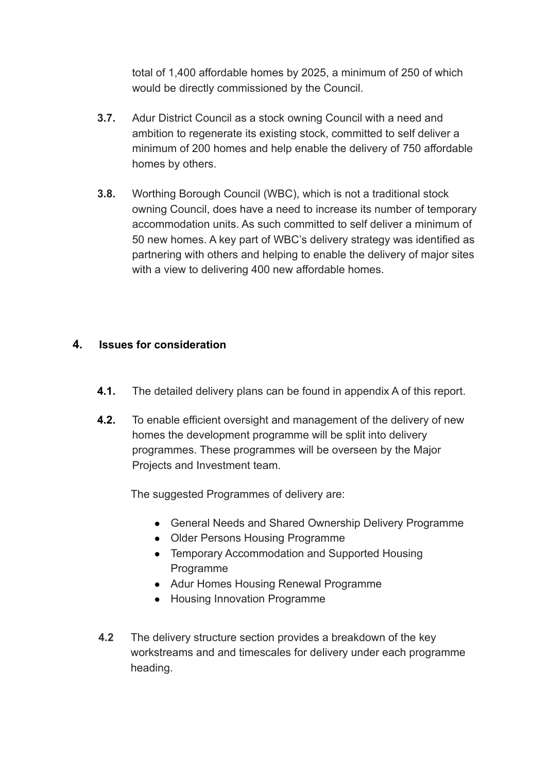total of 1,400 affordable homes by 2025, a minimum of 250 of which would be directly commissioned by the Council.

- **3.7.** Adur District Council as a stock owning Council with a need and ambition to regenerate its existing stock, committed to self deliver a minimum of 200 homes and help enable the delivery of 750 affordable homes by others.
- **3.8.** Worthing Borough Council (WBC), which is not a traditional stock owning Council, does have a need to increase its number of temporary accommodation units. As such committed to self deliver a minimum of 50 new homes. A key part of WBC's delivery strategy was identified as partnering with others and helping to enable the delivery of major sites with a view to delivering 400 new affordable homes.

#### **4. Issues for consideration**

- **4.1.** The detailed delivery plans can be found in appendix A of this report.
- **4.2.** To enable efficient oversight and management of the delivery of new homes the development programme will be split into delivery programmes. These programmes will be overseen by the Major Projects and Investment team.

The suggested Programmes of delivery are:

- General Needs and Shared Ownership Delivery Programme
- Older Persons Housing Programme
- Temporary Accommodation and Supported Housing Programme
- Adur Homes Housing Renewal Programme
- Housing Innovation Programme
- **4.2** The delivery structure section provides a breakdown of the key workstreams and and timescales for delivery under each programme heading.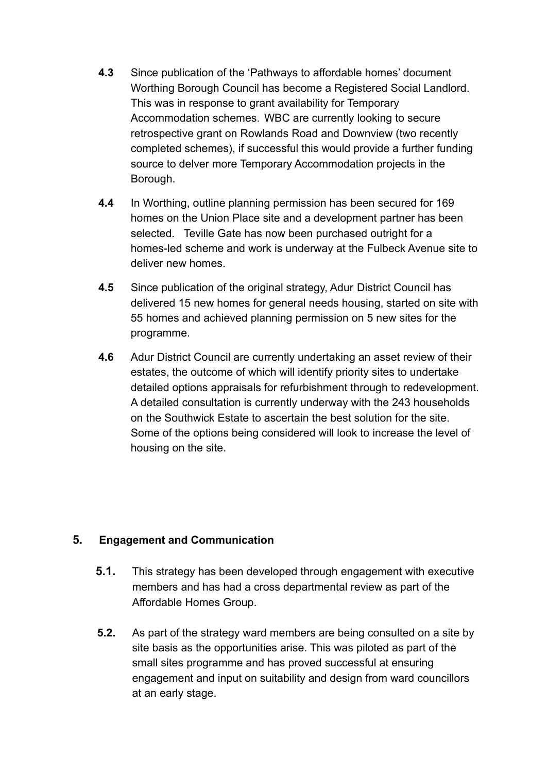- **4.3** Since publication of the 'Pathways to affordable homes' document Worthing Borough Council has become a Registered Social Landlord. This was in response to grant availability for Temporary Accommodation schemes. WBC are currently looking to secure retrospective grant on Rowlands Road and Downview (two recently completed schemes), if successful this would provide a further funding source to delver more Temporary Accommodation projects in the Borough.
- **4.4** In Worthing, outline planning permission has been secured for 169 homes on the Union Place site and a development partner has been selected. Teville Gate has now been purchased outright for a homes-led scheme and work is underway at the Fulbeck Avenue site to deliver new homes.
- **4.5** Since publication of the original strategy, Adur District Council has delivered 15 new homes for general needs housing, started on site with 55 homes and achieved planning permission on 5 new sites for the programme.
- **4.6** Adur District Council are currently undertaking an asset review of their estates, the outcome of which will identify priority sites to undertake detailed options appraisals for refurbishment through to redevelopment. A detailed consultation is currently underway with the 243 households on the Southwick Estate to ascertain the best solution for the site. Some of the options being considered will look to increase the level of housing on the site.

#### **5. Engagement and Communication**

- **5.1.** This strategy has been developed through engagement with executive members and has had a cross departmental review as part of the Affordable Homes Group.
- **5.2.** As part of the strategy ward members are being consulted on a site by site basis as the opportunities arise. This was piloted as part of the small sites programme and has proved successful at ensuring engagement and input on suitability and design from ward councillors at an early stage.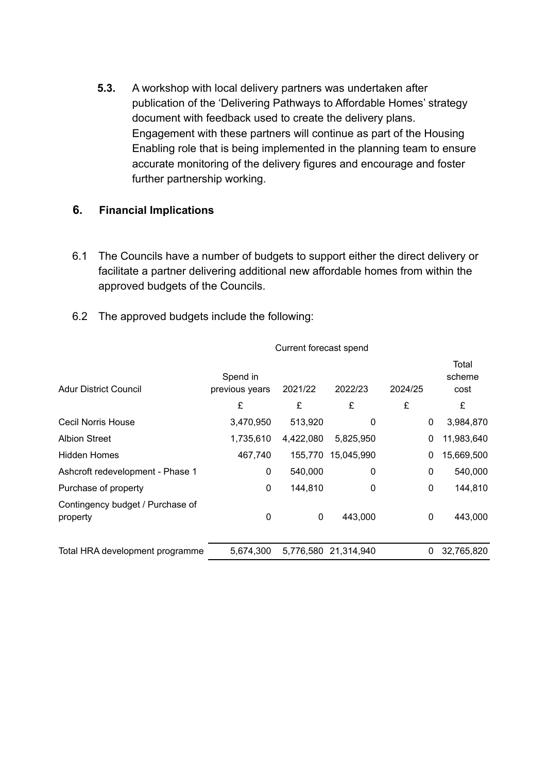**5.3.** A workshop with local delivery partners was undertaken after publication of the 'Delivering Pathways to Affordable Homes' strategy document with feedback used to create the delivery plans. Engagement with these partners will continue as part of the Housing Enabling role that is being implemented in the planning team to ensure accurate monitoring of the delivery figures and encourage and foster further partnership working.

#### **6. Financial Implications**

- 6.1 The Councils have a number of budgets to support either the direct delivery or facilitate a partner delivering additional new affordable homes from within the approved budgets of the Councils.
- 6.2 The approved budgets include the following:

| <b>Adur District Council</b>                 | Spend in<br>previous years | 2021/22   | 2022/23              | 2024/25 | Total<br>scheme<br>cost |
|----------------------------------------------|----------------------------|-----------|----------------------|---------|-------------------------|
|                                              | £                          | £         | £                    | £       | £                       |
| Cecil Norris House                           | 3,470,950                  | 513,920   | 0                    | 0       | 3,984,870               |
| <b>Albion Street</b>                         | 1,735,610                  | 4,422,080 | 5,825,950            | 0       | 11,983,640              |
| <b>Hidden Homes</b>                          | 467,740                    | 155,770   | 15,045,990           | 0       | 15,669,500              |
| Ashcroft redevelopment - Phase 1             | 0                          | 540,000   | 0                    | 0       | 540,000                 |
| Purchase of property                         | 0                          | 144,810   | 0                    | 0       | 144,810                 |
| Contingency budget / Purchase of<br>property | 0                          | 0         | 443,000              | 0       | 443,000                 |
| Total HRA development programme              | 5.674.300                  |           | 5,776,580 21,314,940 | 0       | 32,765,820              |

#### Current forecast spend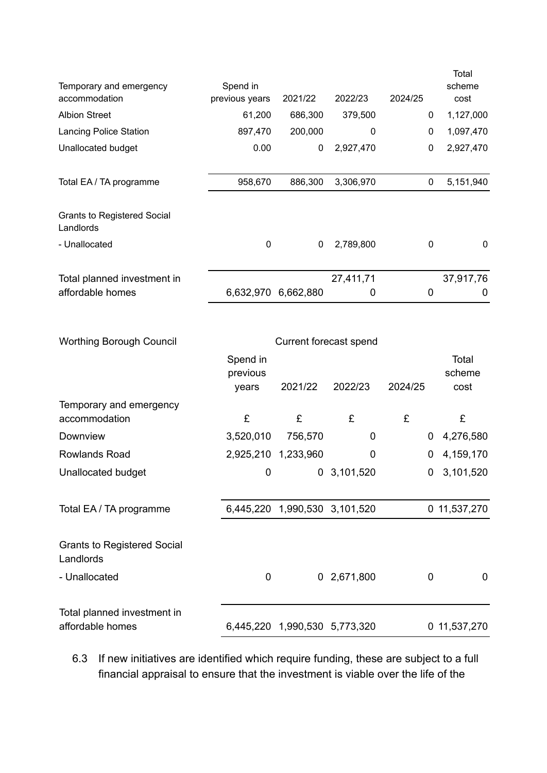| Temporary and emergency<br>accommodation        | Spend in<br>previous years | 2021/22   | 2022/23   | 2024/25 | Total<br>scheme<br>cost |
|-------------------------------------------------|----------------------------|-----------|-----------|---------|-------------------------|
| <b>Albion Street</b>                            | 61,200                     | 686,300   | 379,500   | 0       | 1,127,000               |
| <b>Lancing Police Station</b>                   | 897,470                    | 200,000   | 0         | 0       | 1,097,470               |
| Unallocated budget                              | 0.00                       | 0         | 2,927,470 | 0       | 2,927,470               |
|                                                 |                            |           |           |         |                         |
| Total EA / TA programme                         | 958,670                    | 886,300   | 3,306,970 | 0       | 5,151,940               |
|                                                 |                            |           |           |         |                         |
| <b>Grants to Registered Social</b><br>Landlords |                            |           |           |         |                         |
| - Unallocated                                   | 0                          | 0         | 2,789,800 | 0       | $\mathbf 0$             |
|                                                 |                            |           |           |         |                         |
| Total planned investment in                     |                            |           | 27,411,71 |         | 37,917,76               |
| affordable homes                                | 6,632,970                  | 6,662,880 | 0         | 0       | $\Omega$                |

| <b>Worthing Borough Council</b>                 |                      |                               |                     |         |                 |
|-------------------------------------------------|----------------------|-------------------------------|---------------------|---------|-----------------|
|                                                 | Spend in<br>previous |                               |                     |         | Total<br>scheme |
|                                                 | years                | 2021/22                       | 2022/23             | 2024/25 | cost            |
| Temporary and emergency                         |                      |                               |                     |         |                 |
| accommodation                                   | £                    | £                             | £                   | £       | £               |
| Downview                                        | 3,520,010            | 756,570                       | 0                   | 0       | 4,276,580       |
| Rowlands Road                                   |                      | 2,925,210 1,233,960           | 0                   | 0       | 4,159,170       |
| Unallocated budget                              | 0                    | $\mathbf{0}$                  | 3,101,520           | 0       | 3,101,520       |
|                                                 |                      |                               |                     |         |                 |
| Total EA / TA programme                         | 6,445,220            |                               | 1,990,530 3,101,520 |         | 0 11,537,270    |
|                                                 |                      |                               |                     |         |                 |
| <b>Grants to Registered Social</b><br>Landlords |                      |                               |                     |         |                 |
| - Unallocated                                   | 0                    |                               | 0 2,671,800         | 0       | 0               |
|                                                 |                      |                               |                     |         |                 |
| Total planned investment in                     |                      |                               |                     |         |                 |
| affordable homes                                |                      | 6,445,220 1,990,530 5,773,320 |                     |         | 0 11,537,270    |

6.3 If new initiatives are identified which require funding, these are subject to a full financial appraisal to ensure that the investment is viable over the life of the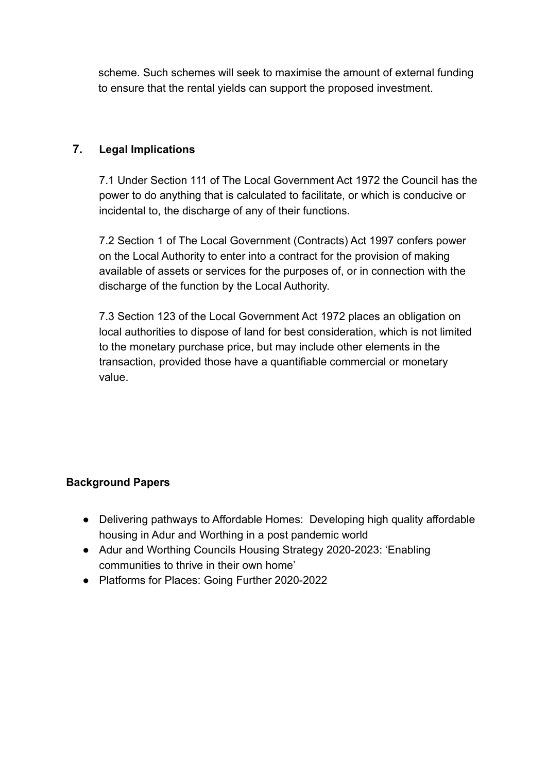scheme. Such schemes will seek to maximise the amount of external funding to ensure that the rental yields can support the proposed investment.

### **7. Legal Implications**

7.1 Under Section 111 of The Local Government Act 1972 the Council has the power to do anything that is calculated to facilitate, or which is conducive or incidental to, the discharge of any of their functions.

7.2 Section 1 of The Local Government (Contracts) Act 1997 confers power on the Local Authority to enter into a contract for the provision of making available of assets or services for the purposes of, or in connection with the discharge of the function by the Local Authority.

7.3 Section 123 of the Local Government Act 1972 places an obligation on local authorities to dispose of land for best consideration, which is not limited to the monetary purchase price, but may include other elements in the transaction, provided those have a quantifiable commercial or monetary value.

## **Background Papers**

- Delivering pathways to Affordable Homes: Developing high quality affordable housing in Adur and Worthing in a post pandemic world
- Adur and Worthing Councils Housing Strategy 2020-2023: 'Enabling communities to thrive in their own home'
- Platforms for Places: Going Further 2020-2022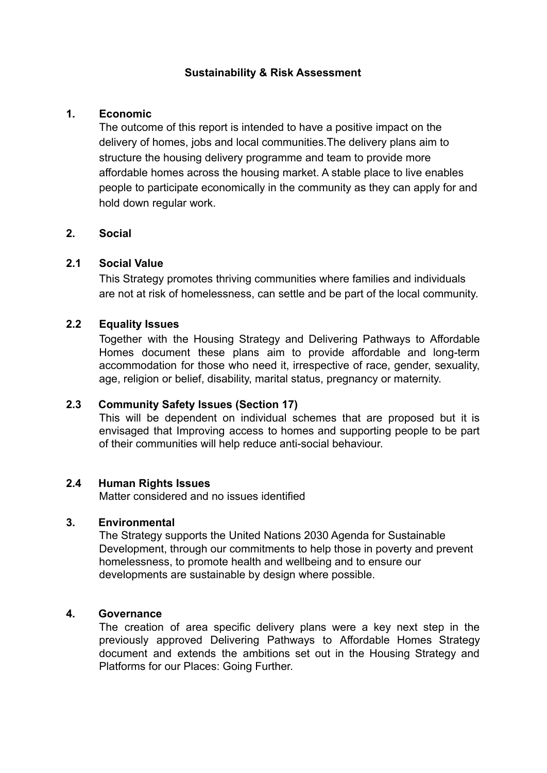#### **Sustainability & Risk Assessment**

#### **1. Economic**

The outcome of this report is intended to have a positive impact on the delivery of homes, jobs and local communities.The delivery plans aim to structure the housing delivery programme and team to provide more affordable homes across the housing market. A stable place to live enables people to participate economically in the community as they can apply for and hold down regular work.

#### **2. Social**

#### **2.1 Social Value**

This Strategy promotes thriving communities where families and individuals are not at risk of homelessness, can settle and be part of the local community.

#### **2.2 Equality Issues**

Together with the Housing Strategy and Delivering Pathways to Affordable Homes document these plans aim to provide affordable and long-term accommodation for those who need it, irrespective of race, gender, sexuality, age, religion or belief, disability, marital status, pregnancy or maternity.

#### **2.3 Community Safety Issues (Section 17)**

This will be dependent on individual schemes that are proposed but it is envisaged that Improving access to homes and supporting people to be part of their communities will help reduce anti-social behaviour.

#### **2.4 Human Rights Issues**

Matter considered and no issues identified

#### **3. Environmental**

The Strategy supports the United Nations 2030 Agenda for Sustainable Development, through our commitments to help those in poverty and prevent homelessness, to promote health and wellbeing and to ensure our developments are sustainable by design where possible.

#### **4. Governance**

The creation of area specific delivery plans were a key next step in the previously approved Delivering Pathways to Affordable Homes Strategy document and extends the ambitions set out in the Housing Strategy and Platforms for our Places: Going Further.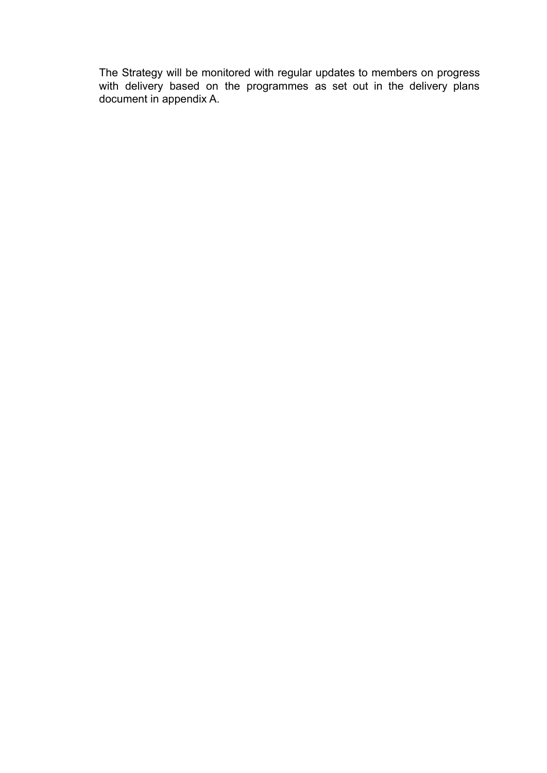The Strategy will be monitored with regular updates to members on progress with delivery based on the programmes as set out in the delivery plans document in appendix A.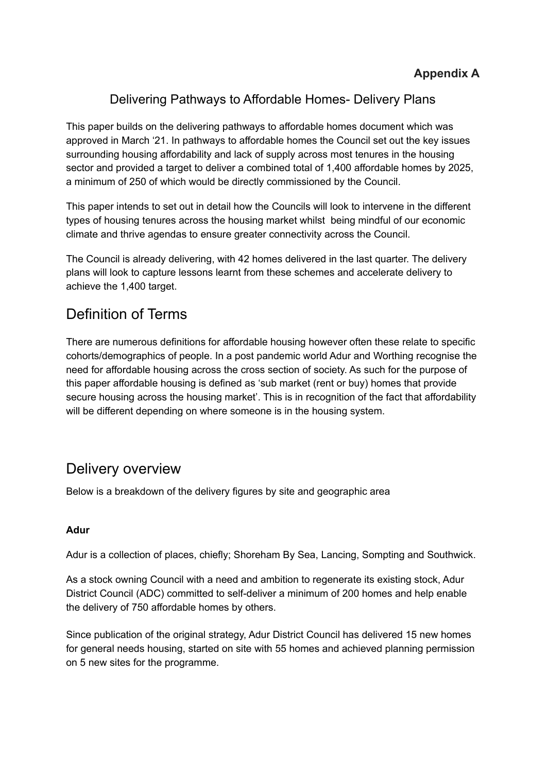## Delivering Pathways to Affordable Homes- Delivery Plans

This paper builds on the delivering pathways to affordable homes document which was approved in March '21. In pathways to affordable homes the Council set out the key issues surrounding housing affordability and lack of supply across most tenures in the housing sector and provided a target to deliver a combined total of 1,400 affordable homes by 2025, a minimum of 250 of which would be directly commissioned by the Council.

This paper intends to set out in detail how the Councils will look to intervene in the different types of housing tenures across the housing market whilst being mindful of our economic climate and thrive agendas to ensure greater connectivity across the Council.

The Council is already delivering, with 42 homes delivered in the last quarter. The delivery plans will look to capture lessons learnt from these schemes and accelerate delivery to achieve the 1,400 target.

# Definition of Terms

There are numerous definitions for affordable housing however often these relate to specific cohorts/demographics of people. In a post pandemic world Adur and Worthing recognise the need for affordable housing across the cross section of society. As such for the purpose of this paper affordable housing is defined as 'sub market (rent or buy) homes that provide secure housing across the housing market'. This is in recognition of the fact that affordability will be different depending on where someone is in the housing system.

# Delivery overview

Below is a breakdown of the delivery figures by site and geographic area

#### **Adur**

Adur is a collection of places, chiefly; Shoreham By Sea, Lancing, Sompting and Southwick.

As a stock owning Council with a need and ambition to regenerate its existing stock, Adur District Council (ADC) committed to self-deliver a minimum of 200 homes and help enable the delivery of 750 affordable homes by others.

Since publication of the original strategy, Adur District Council has delivered 15 new homes for general needs housing, started on site with 55 homes and achieved planning permission on 5 new sites for the programme.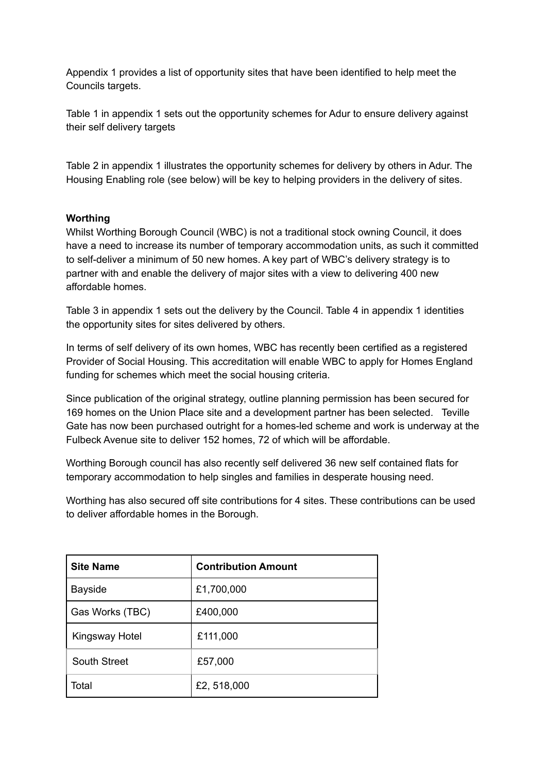Appendix 1 provides a list of opportunity sites that have been identified to help meet the Councils targets.

Table 1 in appendix 1 sets out the opportunity schemes for Adur to ensure delivery against their self delivery targets

Table 2 in appendix 1 illustrates the opportunity schemes for delivery by others in Adur. The Housing Enabling role (see below) will be key to helping providers in the delivery of sites.

#### **Worthing**

Whilst Worthing Borough Council (WBC) is not a traditional stock owning Council, it does have a need to increase its number of temporary accommodation units, as such it committed to self-deliver a minimum of 50 new homes. A key part of WBC's delivery strategy is to partner with and enable the delivery of major sites with a view to delivering 400 new affordable homes.

Table 3 in appendix 1 sets out the delivery by the Council. Table 4 in appendix 1 identities the opportunity sites for sites delivered by others.

In terms of self delivery of its own homes, WBC has recently been certified as a registered Provider of Social Housing. This accreditation will enable WBC to apply for Homes England funding for schemes which meet the social housing criteria.

Since publication of the original strategy, outline planning permission has been secured for 169 homes on the Union Place site and a development partner has been selected. Teville Gate has now been purchased outright for a homes-led scheme and work is underway at the Fulbeck Avenue site to deliver 152 homes, 72 of which will be affordable.

Worthing Borough council has also recently self delivered 36 new self contained flats for temporary accommodation to help singles and families in desperate housing need.

Worthing has also secured off site contributions for 4 sites. These contributions can be used to deliver affordable homes in the Borough.

| <b>Site Name</b>    | <b>Contribution Amount</b> |
|---------------------|----------------------------|
| <b>Bayside</b>      | £1,700,000                 |
| Gas Works (TBC)     | £400,000                   |
| Kingsway Hotel      | £111,000                   |
| <b>South Street</b> | £57,000                    |
| Total               | £2,518,000                 |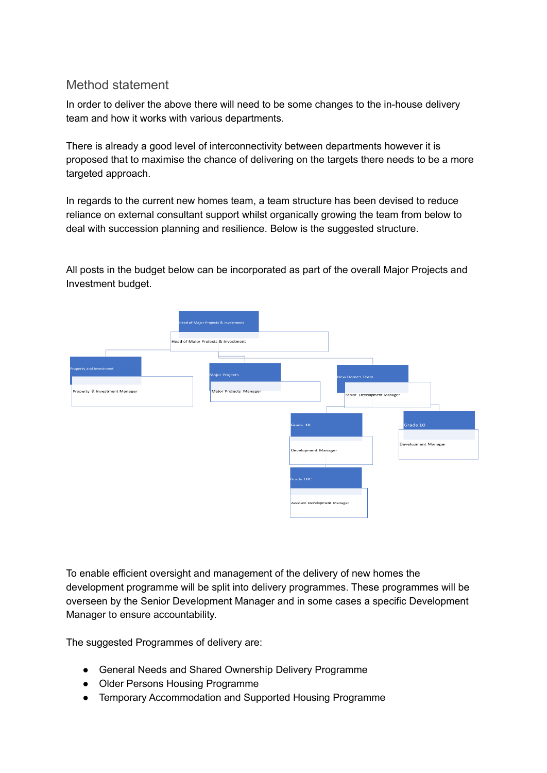## Method statement

In order to deliver the above there will need to be some changes to the in-house delivery team and how it works with various departments.

There is already a good level of interconnectivity between departments however it is proposed that to maximise the chance of delivering on the targets there needs to be a more targeted approach.

In regards to the current new homes team, a team structure has been devised to reduce reliance on external consultant support whilst organically growing the team from below to deal with succession planning and resilience. Below is the suggested structure.

All posts in the budget below can be incorporated as part of the overall Major Projects and Investment budget.



To enable efficient oversight and management of the delivery of new homes the development programme will be split into delivery programmes. These programmes will be overseen by the Senior Development Manager and in some cases a specific Development Manager to ensure accountability.

The suggested Programmes of delivery are:

- General Needs and Shared Ownership Delivery Programme
- Older Persons Housing Programme
- Temporary Accommodation and Supported Housing Programme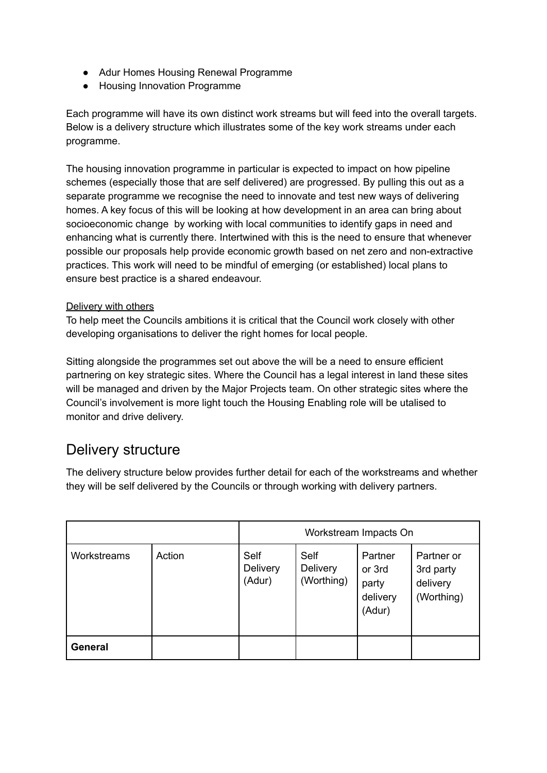- Adur Homes Housing Renewal Programme
- Housing Innovation Programme

Each programme will have its own distinct work streams but will feed into the overall targets. Below is a delivery structure which illustrates some of the key work streams under each programme.

The housing innovation programme in particular is expected to impact on how pipeline schemes (especially those that are self delivered) are progressed. By pulling this out as a separate programme we recognise the need to innovate and test new ways of delivering homes. A key focus of this will be looking at how development in an area can bring about socioeconomic change by working with local communities to identify gaps in need and enhancing what is currently there. Intertwined with this is the need to ensure that whenever possible our proposals help provide economic growth based on net zero and non-extractive practices. This work will need to be mindful of emerging (or established) local plans to ensure best practice is a shared endeavour.

#### Delivery with others

To help meet the Councils ambitions it is critical that the Council work closely with other developing organisations to deliver the right homes for local people.

Sitting alongside the programmes set out above the will be a need to ensure efficient partnering on key strategic sites. Where the Council has a legal interest in land these sites will be managed and driven by the Major Projects team. On other strategic sites where the Council's involvement is more light touch the Housing Enabling role will be utalised to monitor and drive delivery.

# Delivery structure

The delivery structure below provides further detail for each of the workstreams and whether they will be self delivered by the Councils or through working with delivery partners.

|                |        | Workstream Impacts On      |                                |                                                  |                                                   |
|----------------|--------|----------------------------|--------------------------------|--------------------------------------------------|---------------------------------------------------|
| Workstreams    | Action | Self<br>Delivery<br>(Adur) | Self<br>Delivery<br>(Worthing) | Partner<br>or 3rd<br>party<br>delivery<br>(Adur) | Partner or<br>3rd party<br>delivery<br>(Worthing) |
| <b>General</b> |        |                            |                                |                                                  |                                                   |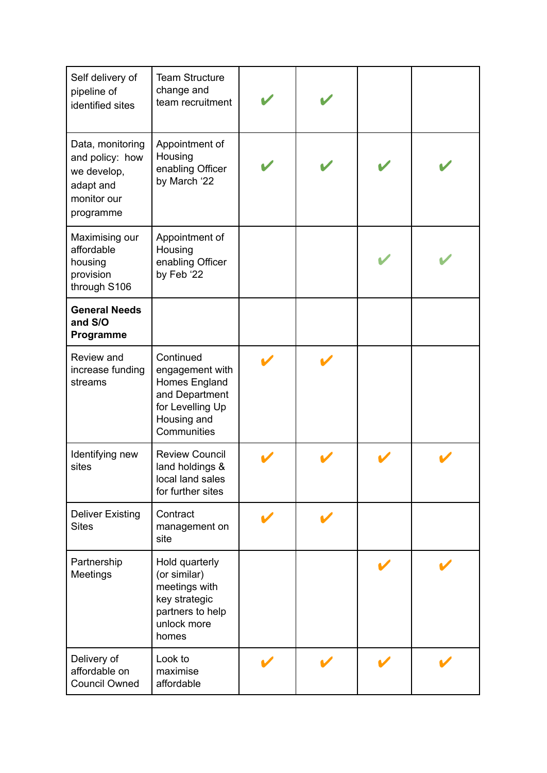| Self delivery of<br>pipeline of<br>identified sites                                         | <b>Team Structure</b><br>change and<br>team recruitment                                                           |  |  |
|---------------------------------------------------------------------------------------------|-------------------------------------------------------------------------------------------------------------------|--|--|
| Data, monitoring<br>and policy: how<br>we develop,<br>adapt and<br>monitor our<br>programme | Appointment of<br>Housing<br>enabling Officer<br>by March '22                                                     |  |  |
| Maximising our<br>affordable<br>housing<br>provision<br>through S106                        | Appointment of<br>Housing<br>enabling Officer<br>by Feb '22                                                       |  |  |
| <b>General Needs</b><br>and S/O<br>Programme                                                |                                                                                                                   |  |  |
| Review and<br>increase funding<br>streams                                                   | Continued<br>engagement with<br>Homes England<br>and Department<br>for Levelling Up<br>Housing and<br>Communities |  |  |
| Identifying new<br>sites                                                                    | <b>Review Council</b><br>land holdings &<br>local land sales<br>for further sites                                 |  |  |
| <b>Deliver Existing</b><br><b>Sites</b>                                                     | Contract<br>management on<br>site                                                                                 |  |  |
| Partnership<br>Meetings                                                                     | Hold quarterly<br>(or similar)<br>meetings with<br>key strategic<br>partners to help<br>unlock more<br>homes      |  |  |
| Delivery of<br>affordable on<br><b>Council Owned</b>                                        | Look to<br>maximise<br>affordable                                                                                 |  |  |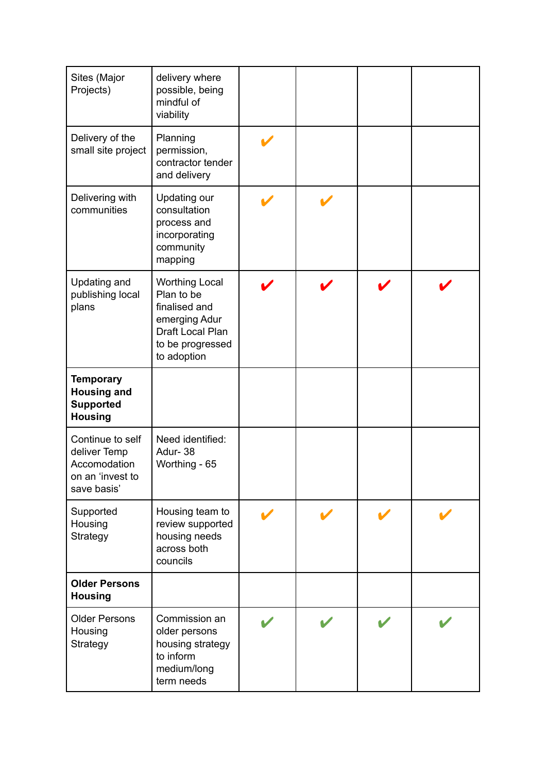| Sites (Major<br>Projects)                                                           | delivery where<br>possible, being<br>mindful of<br>viability                                                                 |  |  |
|-------------------------------------------------------------------------------------|------------------------------------------------------------------------------------------------------------------------------|--|--|
| Delivery of the<br>small site project                                               | Planning<br>permission,<br>contractor tender<br>and delivery                                                                 |  |  |
| Delivering with<br>communities                                                      | Updating our<br>consultation<br>process and<br>incorporating<br>community<br>mapping                                         |  |  |
| Updating and<br>publishing local<br>plans                                           | <b>Worthing Local</b><br>Plan to be<br>finalised and<br>emerging Adur<br>Draft Local Plan<br>to be progressed<br>to adoption |  |  |
| <b>Temporary</b><br><b>Housing and</b><br><b>Supported</b><br><b>Housing</b>        |                                                                                                                              |  |  |
| Continue to self<br>deliver Temp<br>Accomodation<br>on an 'invest to<br>save basis' | Need identified:<br>Adur-38<br>Worthing - 65                                                                                 |  |  |
| Supported<br>Housing<br>Strategy                                                    | Housing team to<br>review supported<br>housing needs<br>across both<br>councils                                              |  |  |
| <b>Older Persons</b><br><b>Housing</b>                                              |                                                                                                                              |  |  |
| <b>Older Persons</b><br>Housing<br>Strategy                                         | Commission an<br>older persons<br>housing strategy<br>to inform<br>medium/long<br>term needs                                 |  |  |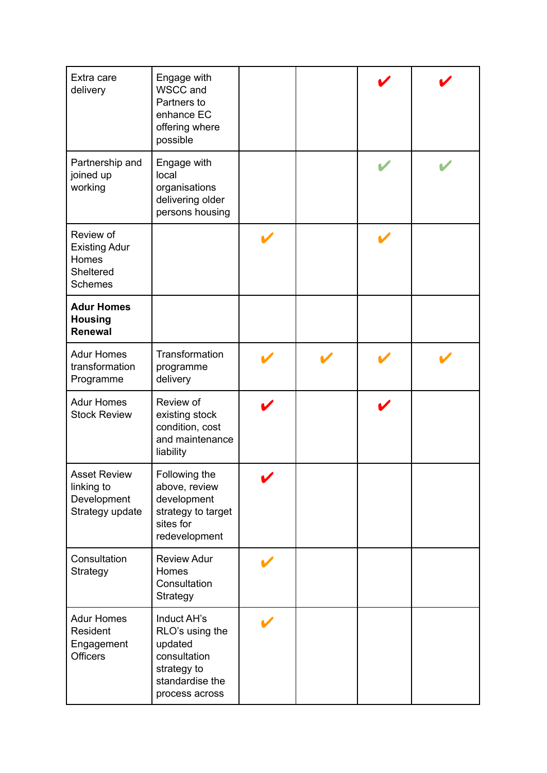| Extra care<br>delivery                                                    | Engage with<br>WSCC and<br>Partners to<br>enhance EC<br>offering where<br>possible                            |   |  |  |
|---------------------------------------------------------------------------|---------------------------------------------------------------------------------------------------------------|---|--|--|
| Partnership and<br>joined up<br>working                                   | Engage with<br>local<br>organisations<br>delivering older<br>persons housing                                  |   |  |  |
| Review of<br><b>Existing Adur</b><br>Homes<br>Sheltered<br><b>Schemes</b> |                                                                                                               |   |  |  |
| <b>Adur Homes</b><br><b>Housing</b><br><b>Renewal</b>                     |                                                                                                               |   |  |  |
| <b>Adur Homes</b><br>transformation<br>Programme                          | Transformation<br>programme<br>delivery                                                                       |   |  |  |
| <b>Adur Homes</b><br><b>Stock Review</b>                                  | Review of<br>existing stock<br>condition, cost<br>and maintenance<br>liability                                |   |  |  |
| <b>Asset Review</b><br>linking to<br>Development<br>Strategy update       | Following the<br>above, review<br>development<br>strategy to target<br>sites for<br>redevelopment             | V |  |  |
| Consultation<br>Strategy                                                  | <b>Review Adur</b><br>Homes<br>Consultation<br>Strategy                                                       |   |  |  |
| <b>Adur Homes</b><br>Resident<br>Engagement<br><b>Officers</b>            | Induct AH's<br>RLO's using the<br>updated<br>consultation<br>strategy to<br>standardise the<br>process across |   |  |  |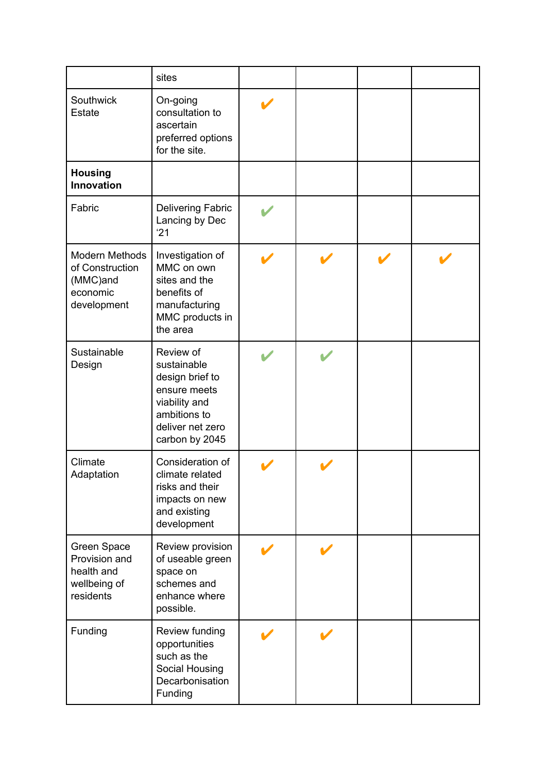|                                                                                 | sites                                                                                                                              |  |  |
|---------------------------------------------------------------------------------|------------------------------------------------------------------------------------------------------------------------------------|--|--|
| Southwick<br><b>Estate</b>                                                      | On-going<br>consultation to<br>ascertain<br>preferred options<br>for the site.                                                     |  |  |
| <b>Housing</b><br><b>Innovation</b>                                             |                                                                                                                                    |  |  |
| Fabric                                                                          | <b>Delivering Fabric</b><br>Lancing by Dec<br>'21                                                                                  |  |  |
| <b>Modern Methods</b><br>of Construction<br>(MMC)and<br>economic<br>development | Investigation of<br>MMC on own<br>sites and the<br>benefits of<br>manufacturing<br>MMC products in<br>the area                     |  |  |
| Sustainable<br>Design                                                           | Review of<br>sustainable<br>design brief to<br>ensure meets<br>viability and<br>ambitions to<br>deliver net zero<br>carbon by 2045 |  |  |
| Climate<br>Adaptation                                                           | Consideration of<br>climate related<br>risks and their<br>impacts on new<br>and existing<br>development                            |  |  |
| Green Space<br>Provision and<br>health and<br>wellbeing of<br>residents         | Review provision<br>of useable green<br>space on<br>schemes and<br>enhance where<br>possible.                                      |  |  |
| Funding                                                                         | Review funding<br>opportunities<br>such as the<br>Social Housing<br>Decarbonisation<br>Funding                                     |  |  |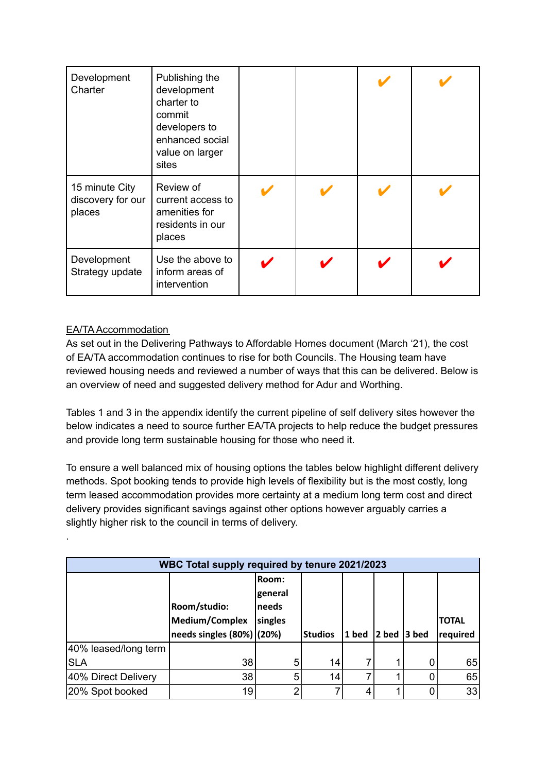| Development<br>Charter                        | Publishing the<br>development<br>charter to<br>commit<br>developers to<br>enhanced social<br>value on larger<br>sites |  |  |
|-----------------------------------------------|-----------------------------------------------------------------------------------------------------------------------|--|--|
| 15 minute City<br>discovery for our<br>places | Review of<br>current access to<br>amenities for<br>residents in our<br>places                                         |  |  |
| Development<br>Strategy update                | Use the above to<br>inform areas of<br>intervention                                                                   |  |  |

#### EA/TA Accommodation

.

As set out in the Delivering Pathways to Affordable Homes document (March '21), the cost of EA/TA accommodation continues to rise for both Councils. The Housing team have reviewed housing needs and reviewed a number of ways that this can be delivered. Below is an overview of need and suggested delivery method for Adur and Worthing.

Tables 1 and 3 in the appendix identify the current pipeline of self delivery sites however the below indicates a need to source further EA/TA projects to help reduce the budget pressures and provide long term sustainable housing for those who need it.

To ensure a well balanced mix of housing options the tables below highlight different delivery methods. Spot booking tends to provide high levels of flexibility but is the most costly, long term leased accommodation provides more certainty at a medium long term cost and direct delivery provides significant savings against other options however arguably carries a slightly higher risk to the council in terms of delivery.

| WBC Total supply required by tenure 2021/2023 |                           |         |                |       |          |       |              |  |  |  |
|-----------------------------------------------|---------------------------|---------|----------------|-------|----------|-------|--------------|--|--|--|
|                                               |                           | lRoom:  |                |       |          |       |              |  |  |  |
|                                               |                           | general |                |       |          |       |              |  |  |  |
|                                               | Room/studio:              | Ineeds  |                |       |          |       |              |  |  |  |
|                                               | Medium/Complex            | singles |                |       |          |       | <b>TOTAL</b> |  |  |  |
|                                               |                           |         |                |       |          |       |              |  |  |  |
|                                               | needs singles (80%) (20%) |         | <b>Studios</b> | 1 bed | $ 2$ bed | 3 bed | required     |  |  |  |
| 40% leased/long term                          |                           |         |                |       |          |       |              |  |  |  |
| <b>SLA</b>                                    | 38                        | 5       | 14             |       |          |       | 65           |  |  |  |
| 40% Direct Delivery                           | 38                        | 5       | 14             |       |          |       | 65           |  |  |  |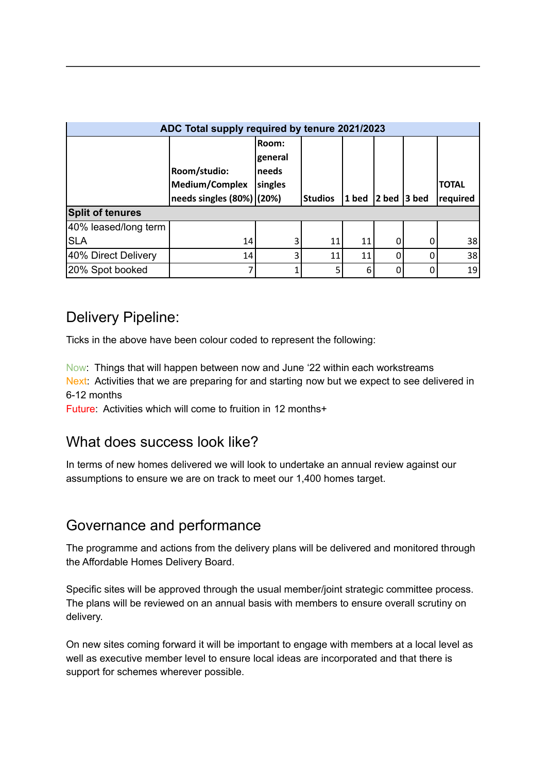| ADC Total supply required by tenure 2021/2023 |                               |              |                |         |          |       |              |  |  |  |
|-----------------------------------------------|-------------------------------|--------------|----------------|---------|----------|-------|--------------|--|--|--|
|                                               |                               | <b>Room:</b> |                |         |          |       |              |  |  |  |
|                                               |                               | general      |                |         |          |       |              |  |  |  |
|                                               | Room/studio:                  | Ineeds       |                |         |          |       |              |  |  |  |
|                                               | Medium/Complex                | singles      |                |         |          |       | <b>TOTAL</b> |  |  |  |
|                                               | needs singles $(80%)$ $(20%)$ |              | <b>Studios</b> | $1$ bed | $ 2$ bed | 3 bed | required     |  |  |  |
| <b>Split of tenures</b>                       |                               |              |                |         |          |       |              |  |  |  |
| 40% leased/long term                          |                               |              |                |         |          |       |              |  |  |  |
| <b>SLA</b>                                    | 14                            | 3            | 11             | 11      | 0        | 0     | 38           |  |  |  |
| 40% Direct Delivery                           | 14                            | 3            | 11             | 11      | 0        | 0     | 38           |  |  |  |
| 20% Spot booked                               |                               |              |                | 6       | $\Omega$ | 0     | 19           |  |  |  |

# Delivery Pipeline:

Ticks in the above have been colour coded to represent the following:

Now: Things that will happen between now and June '22 within each workstreams Next: Activities that we are preparing for and starting now but we expect to see delivered in 6-12 months

Future: Activities which will come to fruition in 12 months+

# What does success look like?

In terms of new homes delivered we will look to undertake an annual review against our assumptions to ensure we are on track to meet our 1,400 homes target.

## Governance and performance

The programme and actions from the delivery plans will be delivered and monitored through the Affordable Homes Delivery Board.

Specific sites will be approved through the usual member/joint strategic committee process. The plans will be reviewed on an annual basis with members to ensure overall scrutiny on delivery.

On new sites coming forward it will be important to engage with members at a local level as well as executive member level to ensure local ideas are incorporated and that there is support for schemes wherever possible.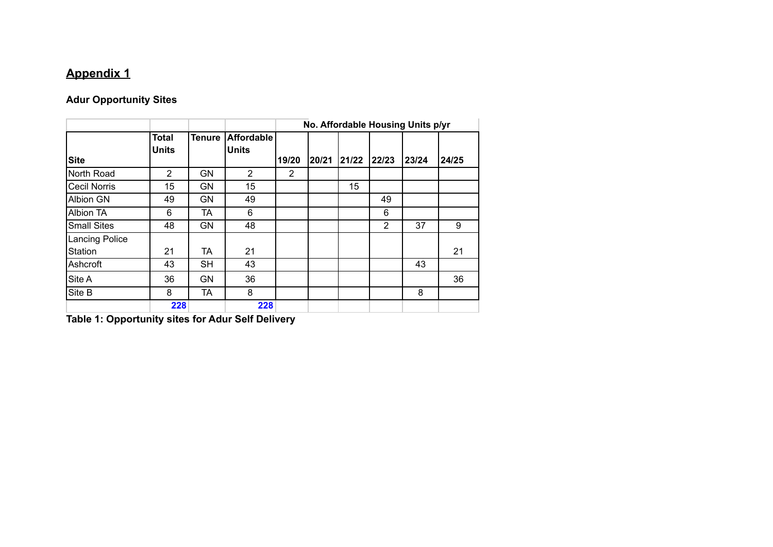# **Appendix 1**

# **Adur Opportunity Sites**

|                       |                              |               |                                   | No. Affordable Housing Units p/yr |       |       |       |       |       |  |
|-----------------------|------------------------------|---------------|-----------------------------------|-----------------------------------|-------|-------|-------|-------|-------|--|
| <b>Site</b>           | <b>Total</b><br><b>Units</b> | <b>Tenure</b> | <b>Affordable</b><br><b>Units</b> | 19/20                             | 20/21 | 21/22 | 22/23 | 23/24 | 24/25 |  |
| North Road            | $\overline{2}$               | <b>GN</b>     | $\overline{2}$                    | 2                                 |       |       |       |       |       |  |
| <b>Cecil Norris</b>   | 15                           | <b>GN</b>     | 15                                |                                   |       | 15    |       |       |       |  |
| <b>Albion GN</b>      | 49                           | <b>GN</b>     | 49                                |                                   |       |       | 49    |       |       |  |
| <b>Albion TA</b>      | 6                            | TA            | 6                                 |                                   |       |       | 6     |       |       |  |
| <b>Small Sites</b>    | 48                           | <b>GN</b>     | 48                                |                                   |       |       | 2     | 37    | 9     |  |
| <b>Lancing Police</b> |                              |               |                                   |                                   |       |       |       |       |       |  |
| Station               | 21                           | TA            | 21                                |                                   |       |       |       |       | 21    |  |
| Ashcroft              | 43                           | <b>SH</b>     | 43                                |                                   |       |       |       | 43    |       |  |
| Site A                | 36                           | <b>GN</b>     | 36                                |                                   |       |       |       |       | 36    |  |
| Site B                | 8                            | TA            | 8                                 |                                   |       |       |       | 8     |       |  |
|                       | 228                          |               | 228                               |                                   |       |       |       |       |       |  |

**Table 1: Opportunity sites for Adur Self Delivery**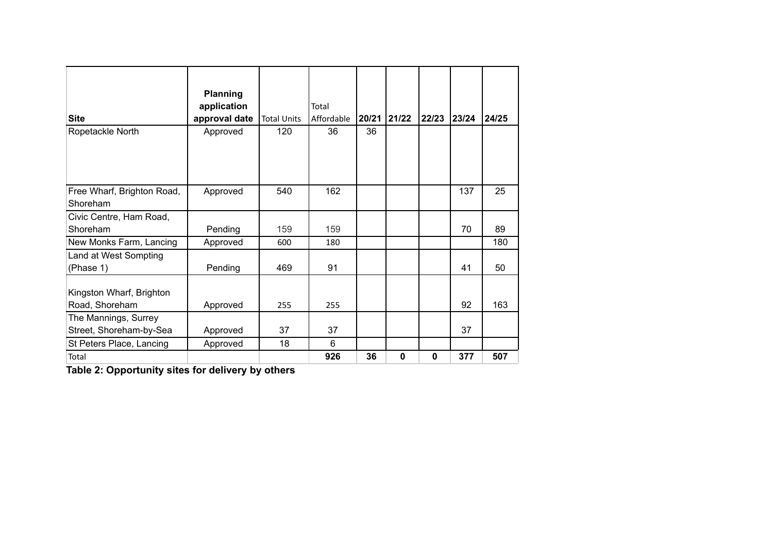| <b>Site</b>                                     | Planning<br>application<br>approval date | <b>Total Units</b> | Total<br>Affordable | 20/21 | 21/22       | 22/23    | 23/24 | 24/25 |
|-------------------------------------------------|------------------------------------------|--------------------|---------------------|-------|-------------|----------|-------|-------|
| Ropetackle North                                | Approved                                 | 120                | 36                  | 36    |             |          |       |       |
| Free Wharf, Brighton Road,<br>Shoreham          | Approved                                 | 540                | 162                 |       |             |          | 137   | 25    |
| Civic Centre, Ham Road,                         |                                          |                    |                     |       |             |          |       |       |
| Shoreham                                        | Pending                                  | 159                | 159                 |       |             |          | 70    | 89    |
| New Monks Farm, Lancing                         | Approved                                 | 600                | 180                 |       |             |          |       | 180   |
| Land at West Sompting<br>(Phase 1)              | Pending                                  | 469                | 91                  |       |             |          | 41    | 50    |
| Kingston Wharf, Brighton<br>Road, Shoreham      | Approved                                 | 255                | 255                 |       |             |          | 92    | 163   |
| The Mannings, Surrey<br>Street, Shoreham-by-Sea | Approved                                 | 37                 | 37                  |       |             |          | 37    |       |
| St Peters Place, Lancing                        | Approved                                 | 18                 | 6                   |       |             |          |       |       |
| Total                                           |                                          |                    | 926                 | 36    | $\mathbf 0$ | $\bf{0}$ | 377   | 507   |

**Table 2: Opportunity sites for delivery by others**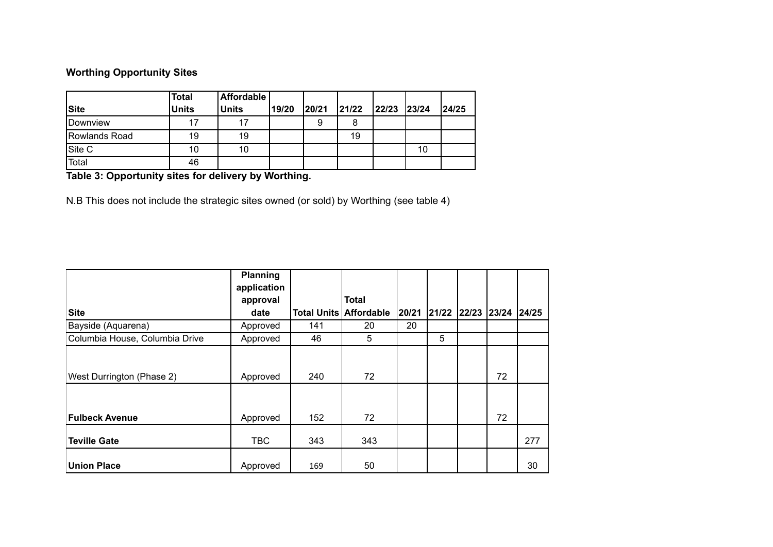### **Worthing Opportunity Sites**

| <b>Site</b>   | <b>Total</b><br><b>Units</b> | <b>Affordable</b><br><b>Units</b> | 19/20 | 20/21 | 21/22 | 22/23 | 23/24 | 24/25 |
|---------------|------------------------------|-----------------------------------|-------|-------|-------|-------|-------|-------|
|               |                              |                                   |       |       |       |       |       |       |
| Downview      | 17                           | 17                                |       | 9     |       |       |       |       |
| Rowlands Road | 19                           | 19                                |       |       | 19    |       |       |       |
| Site C        | 10                           | 10                                |       |       |       |       | 10    |       |
| Total         | 46                           |                                   |       |       |       |       |       |       |

**Table 3: Opportunity sites for delivery by Worthing.**

N.B This does not include the strategic sites owned (or sold) by Worthing (see table 4)

|                                | Planning    |     |                               |       |       |             |    |       |
|--------------------------------|-------------|-----|-------------------------------|-------|-------|-------------|----|-------|
|                                | application |     |                               |       |       |             |    |       |
|                                | approval    |     | <b>Total</b>                  |       |       |             |    |       |
| Site                           | date        |     | <b>Total Units Affordable</b> | 20/21 | 21/22 | 22/23 23/24 |    | 24/25 |
| Bayside (Aquarena)             | Approved    | 141 | 20                            | 20    |       |             |    |       |
| Columbia House, Columbia Drive | Approved    | 46  | 5                             |       | 5     |             |    |       |
| West Durrington (Phase 2)      | Approved    | 240 | 72                            |       |       |             | 72 |       |
| <b>Fulbeck Avenue</b>          | Approved    | 152 | 72                            |       |       |             | 72 |       |
| <b>Teville Gate</b>            | <b>TBC</b>  | 343 | 343                           |       |       |             |    | 277   |
| <b>Union Place</b>             | Approved    | 169 | 50                            |       |       |             |    | 30    |